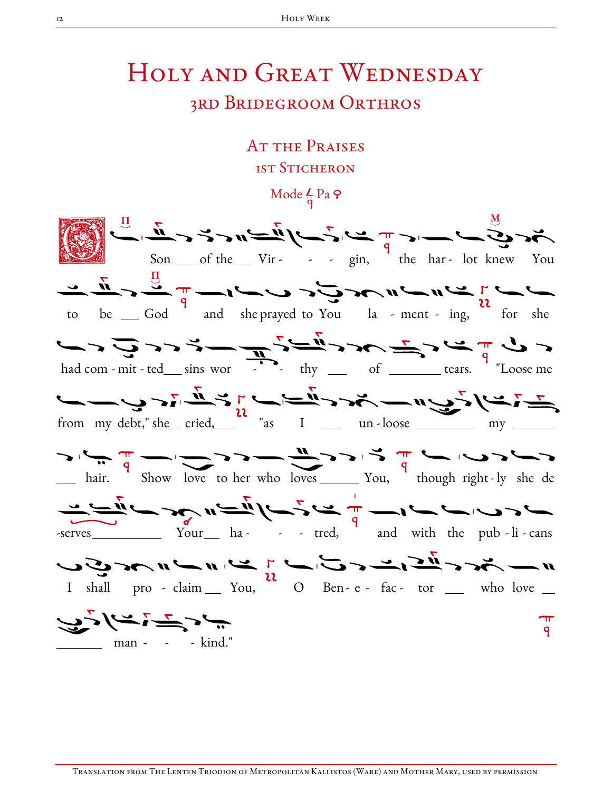# Holy and Great Wednesday

## 3rd Bridegroom Orthros

AT THE PRAISES 1st Sticheron

Mode  $\frac{L}{a}$  Pa  $\varphi$ 

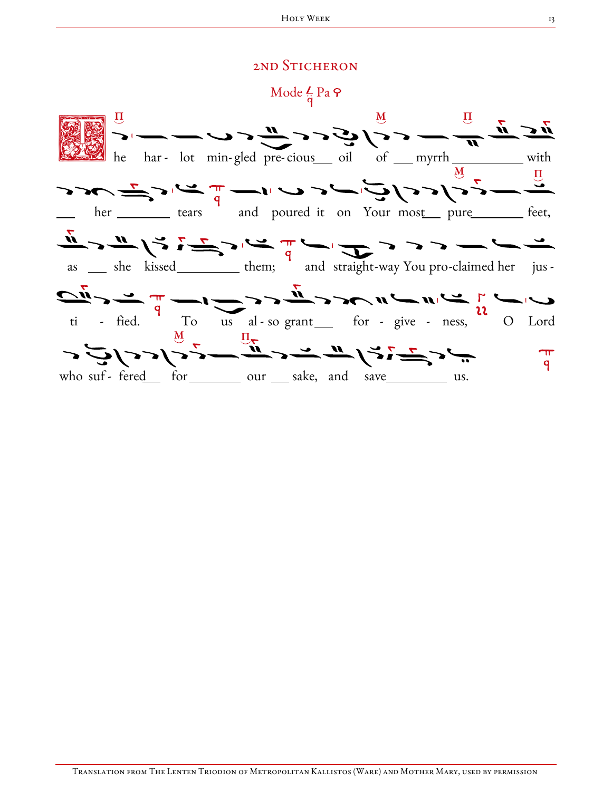### 2ND STICHERON

Mode  $\frac{L}{\dot{q}}$  Pa  $\varphi$ 

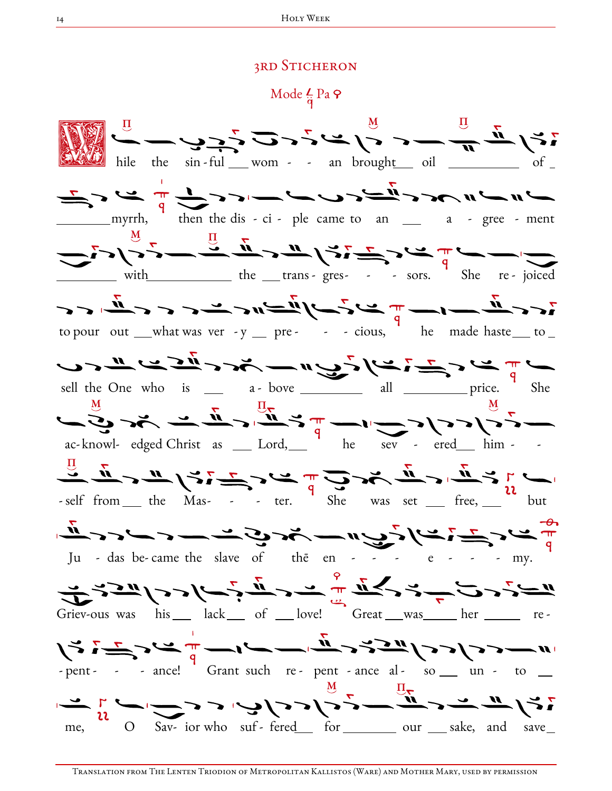#### **3RD STICHERON**

Mode  $\frac{L}{\dot{q}}$  Pa  $\varphi$ 

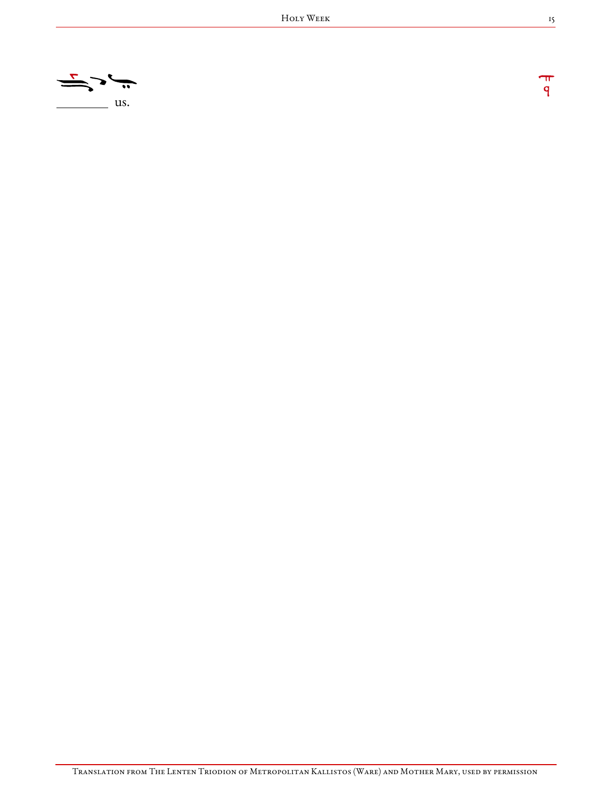

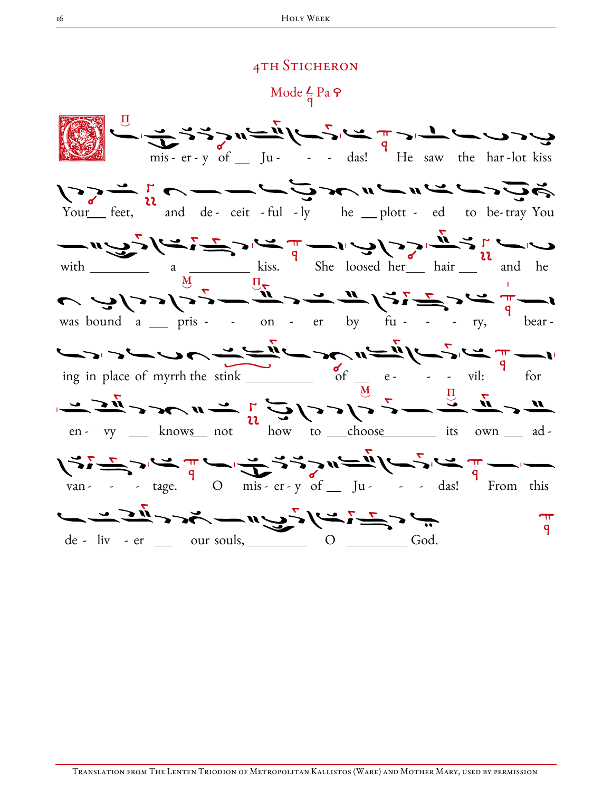#### **4TH STICHERON**

Mode  $\frac{L}{q}$  Pa  $\varphi$ 

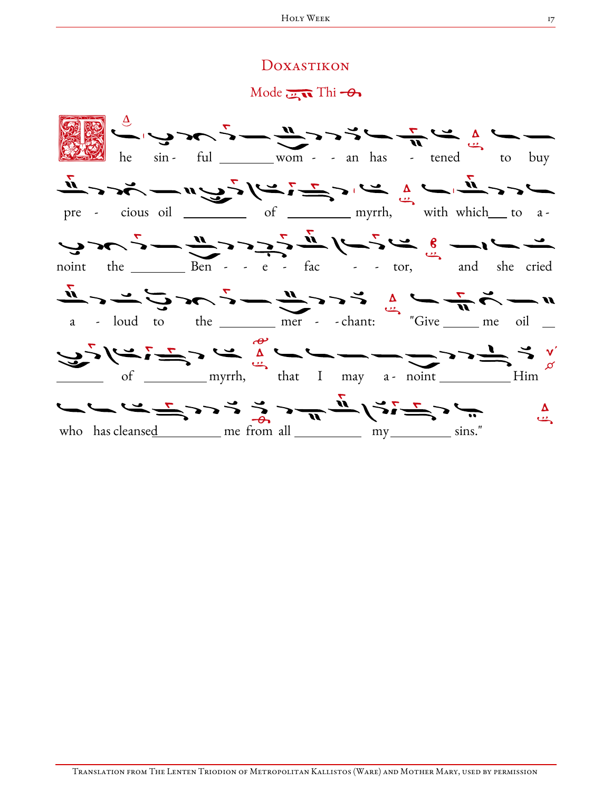#### Doxastikon

 $Mode$   $\overline{m}$  Thi  $\rightarrow$